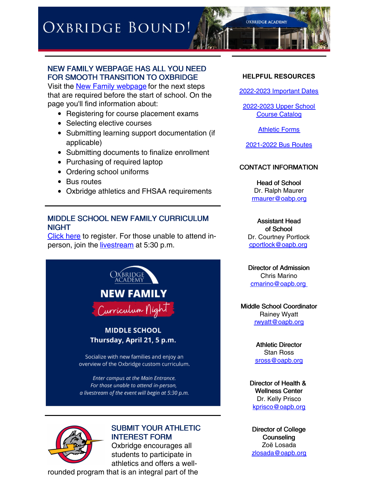# OXBRIDGE BOUND!



## NEW FAMILY WEBPAGE HAS ALL YOU NEED FOR SMOOTH TRANSITION TO OXBRIDGE

Visit the **New Family [webpage](http://www.oapb.org/new)** for the next steps that are required before the start of school. On the page you'll find information about:

- Registering for course placement exams
- Selecting elective courses
- Submitting learning support documentation (if applicable)
- Submitting documents to finalize enrollment
- Purchasing of required laptop
- Ordering school uniforms
- Bus routes
- Oxbridge athletics and FHSAA requirements

### MIDDLE SCHOOL NEW FAMILY CURRICULUM NIGHT

[Click](https://forms.gle/6ecFHq9j1FLmDeaDA) here to register. For those unable to attend inperson, join the *[livestream](https://youtu.be/768RIuTiTsI)* at 5:30 p.m.







#### SUBMIT YOUR ATHLETIC INTEREST FORM

Oxbridge encourages all students to participate in athletics and offers a well-

rounded program that is an integral part of the

### **HELPFUL RESOURCES**

[2022-2023](https://resources.finalsite.net/images/v1648234900/oxbridge/vgoq2ah5jrjkw0emtdel/IMPORTANTDATES2022-23.pdf) Important Dates

[2022-2023](https://www.flipsnack.com/oxbridgeacademy3151/course-catalog-2022-23/full-view.html) Upper School Course Catalog

[Athletic](https://www.oapb.org/athletics/forms-waivers) Forms

[2021-2022](https://www.oapb.org/student-life/bus-routes) Bus Routes

#### CONTACT INFORMATION

Head of School Dr. Ralph Maurer rmaurer@oabp.org

Assistant Head of School Dr. Courtney Portlock cportlock@oapb.org

Director of Admission Chris Marino cmarino@oapb.org

Middle School Coordinator Rainey Wyatt rwyatt@oapb.org

> Athletic Director Stan Ross sross@oapb.org

Director of Health & Wellness Center Dr. Kelly Prisco kprisco@oapb.org

Director of College **Counseling** Zoë Losada zlosada@oapb.org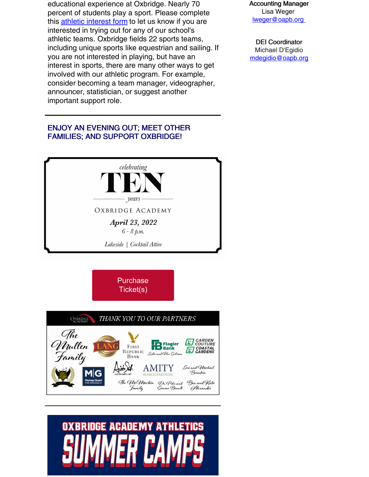educational experience at Oxbridge. Nearly 70 percent of students play a sport. Please complete this athletic [interest](https://www.oapb.org/athletics/new-student-athletic-questionnaire) form to let us know if you are interested in trying out for any of our school's athletic teams. Oxbridge fields 22 sports teams, including unique sports like equestrian and sailing. If you are not interested in playing, but have an interest in sports, there are many other ways to get involved with our athletic program. For example, consider becoming a team manager, videographer, announcer, statistician, or suggest another important support role.

# ENJOY AN EVENING OUT; MEET OTHER FAMILIES; AND SUPPORT OXBRIDGE!







# **OXBRIDGE ACADEMY ATHLETICS**

Accounting Manager Lisa Weger lweger@oapb.org

DEI Coordinator Michael D'Egidio mdegidio@oapb.org